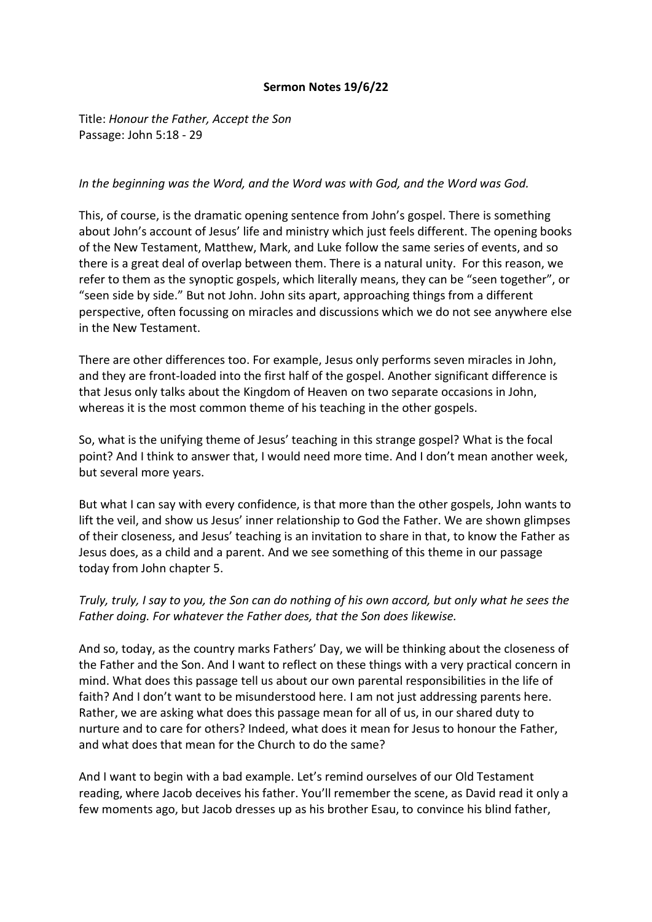## **Sermon Notes 19/6/22**

Title: *Honour the Father, Accept the Son* Passage: John 5:18 - 29

## *In the beginning was the Word, and the Word was with God, and the Word was God.*

This, of course, is the dramatic opening sentence from John's gospel. There is something about John's account of Jesus' life and ministry which just feels different. The opening books of the New Testament, Matthew, Mark, and Luke follow the same series of events, and so there is a great deal of overlap between them. There is a natural unity. For this reason, we refer to them as the synoptic gospels, which literally means, they can be "seen together", or "seen side by side." But not John. John sits apart, approaching things from a different perspective, often focussing on miracles and discussions which we do not see anywhere else in the New Testament.

There are other differences too. For example, Jesus only performs seven miracles in John, and they are front-loaded into the first half of the gospel. Another significant difference is that Jesus only talks about the Kingdom of Heaven on two separate occasions in John, whereas it is the most common theme of his teaching in the other gospels.

So, what is the unifying theme of Jesus' teaching in this strange gospel? What is the focal point? And I think to answer that, I would need more time. And I don't mean another week, but several more years.

But what I can say with every confidence, is that more than the other gospels, John wants to lift the veil, and show us Jesus' inner relationship to God the Father. We are shown glimpses of their closeness, and Jesus' teaching is an invitation to share in that, to know the Father as Jesus does, as a child and a parent. And we see something of this theme in our passage today from John chapter 5.

## *Truly, truly, I say to you, the Son can do nothing of his own accord, but only what he sees the Father doing. For whatever the Father does, that the Son does likewise.*

And so, today, as the country marks Fathers' Day, we will be thinking about the closeness of the Father and the Son. And I want to reflect on these things with a very practical concern in mind. What does this passage tell us about our own parental responsibilities in the life of faith? And I don't want to be misunderstood here. I am not just addressing parents here. Rather, we are asking what does this passage mean for all of us, in our shared duty to nurture and to care for others? Indeed, what does it mean for Jesus to honour the Father, and what does that mean for the Church to do the same?

And I want to begin with a bad example. Let's remind ourselves of our Old Testament reading, where Jacob deceives his father. You'll remember the scene, as David read it only a few moments ago, but Jacob dresses up as his brother Esau, to convince his blind father,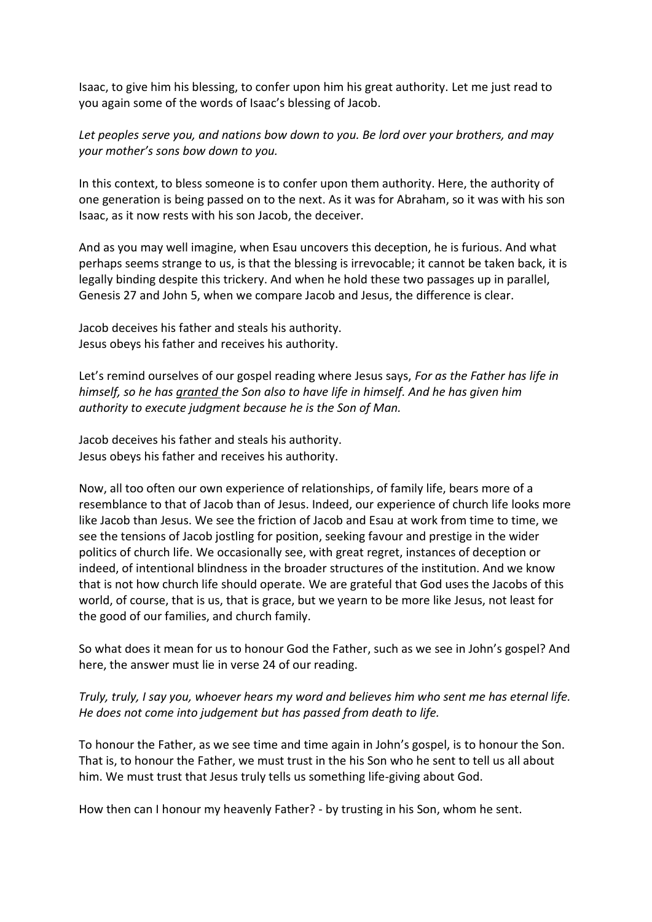Isaac, to give him his blessing, to confer upon him his great authority. Let me just read to you again some of the words of Isaac's blessing of Jacob.

*Let peoples serve you, and nations bow down to you. Be lord over your brothers, and may your mother's sons bow down to you.*

In this context, to bless someone is to confer upon them authority. Here, the authority of one generation is being passed on to the next. As it was for Abraham, so it was with his son Isaac, as it now rests with his son Jacob, the deceiver.

And as you may well imagine, when Esau uncovers this deception, he is furious. And what perhaps seems strange to us, is that the blessing is irrevocable; it cannot be taken back, it is legally binding despite this trickery. And when he hold these two passages up in parallel, Genesis 27 and John 5, when we compare Jacob and Jesus, the difference is clear.

Jacob deceives his father and steals his authority. Jesus obeys his father and receives his authority.

Let's remind ourselves of our gospel reading where Jesus says, *For as the Father has life in himself, so he has granted the Son also to have life in himself. And he has given him authority to execute judgment because he is the Son of Man.* 

Jacob deceives his father and steals his authority. Jesus obeys his father and receives his authority.

Now, all too often our own experience of relationships, of family life, bears more of a resemblance to that of Jacob than of Jesus. Indeed, our experience of church life looks more like Jacob than Jesus. We see the friction of Jacob and Esau at work from time to time, we see the tensions of Jacob jostling for position, seeking favour and prestige in the wider politics of church life. We occasionally see, with great regret, instances of deception or indeed, of intentional blindness in the broader structures of the institution. And we know that is not how church life should operate. We are grateful that God uses the Jacobs of this world, of course, that is us, that is grace, but we yearn to be more like Jesus, not least for the good of our families, and church family.

So what does it mean for us to honour God the Father, such as we see in John's gospel? And here, the answer must lie in verse 24 of our reading.

## *Truly, truly, I say you, whoever hears my word and believes him who sent me has eternal life. He does not come into judgement but has passed from death to life.*

To honour the Father, as we see time and time again in John's gospel, is to honour the Son. That is, to honour the Father, we must trust in the his Son who he sent to tell us all about him. We must trust that Jesus truly tells us something life-giving about God.

How then can I honour my heavenly Father? - by trusting in his Son, whom he sent.